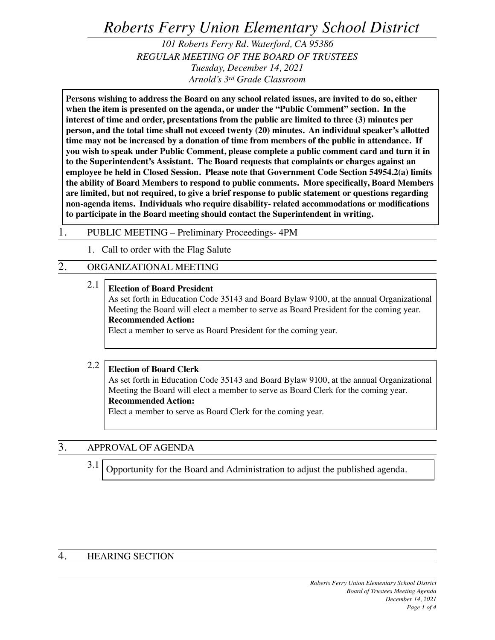# *Roberts Ferry Union Elementary School District*

*101 Roberts Ferry Rd. Waterford, CA 95386 REGULAR MEETING OF THE BOARD OF TRUSTEES Tuesday, December 14, 2021 Arnold's 3rd Grade Classroom*

**Persons wishing to address the Board on any school related issues, are invited to do so, either when the item is presented on the agenda, or under the "Public Comment" section. In the interest of time and order, presentations from the public are limited to three (3) minutes per person, and the total time shall not exceed twenty (20) minutes. An individual speaker's allotted time may not be increased by a donation of time from members of the public in attendance. If you wish to speak under Public Comment, please complete a public comment card and turn it in to the Superintendent's Assistant. The Board requests that complaints or charges against an employee be held in Closed Session. Please note that Government Code Section 54954.2(a) limits the ability of Board Members to respond to public comments. More specifically, Board Members are limited, but not required, to give a brief response to public statement or questions regarding non-agenda items. Individuals who require disability- related accommodations or modifications to participate in the Board meeting should contact the Superintendent in writing.**

#### 1. PUBLIC MEETING – Preliminary Proceedings- 4PM

1. Call to order with the Flag Salute

### 2. ORGANIZATIONAL MEETING

2.1 **Election of Board President** As set forth in Education Code 35143 and Board Bylaw 9100, at the annual Organizational Meeting the Board will elect a member to serve as Board President for the coming year. **Recommended Action:** Elect a member to serve as Board President for the coming year.

#### 2.2 **Election of Board Clerk**

As set forth in Education Code 35143 and Board Bylaw 9100, at the annual Organizational Meeting the Board will elect a member to serve as Board Clerk for the coming year. **Recommended Action:**

Elect a member to serve as Board Clerk for the coming year.

### 3. APPROVAL OF AGENDA

3.1 Opportunity for the Board and Administration to adjust the published agenda.

#### 4. HEARING SECTION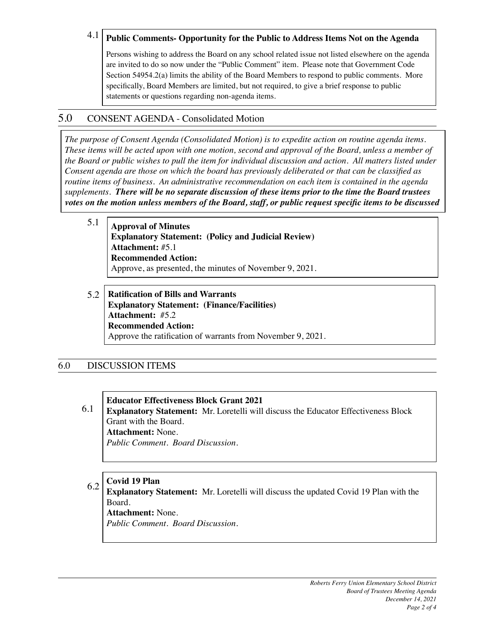#### 4.1 **Public Comments- Opportunity for the Public to Address Items Not on the Agenda**

Persons wishing to address the Board on any school related issue not listed elsewhere on the agenda are invited to do so now under the "Public Comment" item. Please note that Government Code Section 54954.2(a) limits the ability of the Board Members to respond to public comments. More specifically, Board Members are limited, but not required, to give a brief response to public statements or questions regarding non-agenda items.

### 5.0 CONSENT AGENDA - Consolidated Motion

*The purpose of Consent Agenda (Consolidated Motion) is to expedite action on routine agenda items. These items will be acted upon with one motion, second and approval of the Board, unless a member of the Board or public wishes to pull the item for individual discussion and action. All matters listed under Consent agenda are those on which the board has previously deliberated or that can be classified as routine items of business. An administrative recommendation on each item is contained in the agenda supplements. There will be no separate discussion of these items prior to the time the Board trustees votes on the motion unless members of the Board, staff, or public request specific items to be discussed* 

- 5.1 **Approval of Minutes Explanatory Statement: (Policy and Judicial Review) Attachment:** #5.1 **Recommended Action:** Approve, as presented, the minutes of November 9, 2021.
- 5.2 **Ratification of Bills and Warrants Explanatory Statement: (Finance/Facilities) Attachment:** #5.2 **Recommended Action:** Approve the ratification of warrants from November 9, 2021.

#### 6.0 DISCUSSION ITEMS

#### **Educator Effectiveness Block Grant 2021**

6.1 **Explanatory Statement:** Mr. Loretelli will discuss the Educator Effectiveness Block Grant with the Board. **Attachment:** None.

*Public Comment. Board Discussion.*

#### 6.2 **Covid 19 Plan**

**Explanatory Statement:** Mr. Loretelli will discuss the updated Covid 19 Plan with the Board.

**Attachment:** None.

*Public Comment. Board Discussion.*